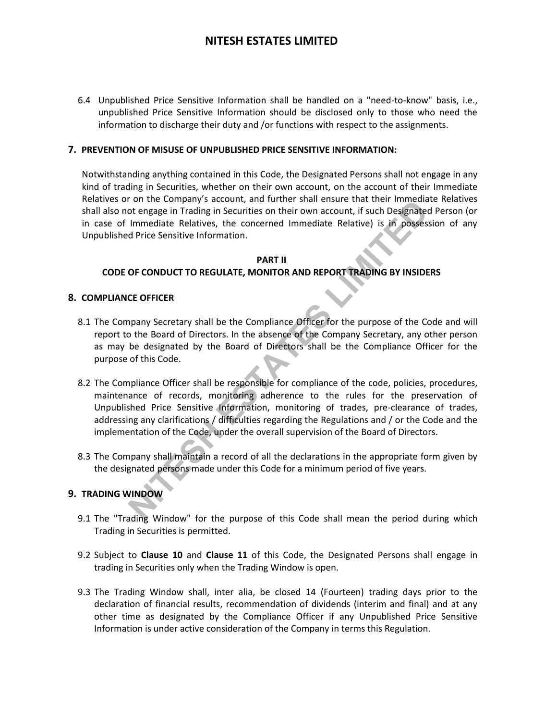6.4 Unpublished Price Sensitive Information shall be handled on a "need-to-know" basis, i.e., unpublished Price Sensitive Information should be disclosed only to those who need the information to discharge their duty and /or functions with respect to the assignments.

### **7. PREVENTION OF MISUSE OF UNPUBLISHED PRICE SENSITIVE INFORMATION:**

Notwithstanding anything contained in this Code, the Designated Persons shall not engage in any kind of trading in Securities, whether on their own account, on the account of their Immediate Relatives or on the Company's account, and further shall ensure that their Immediate Relatives shall also not engage in Trading in Securities on their own account, if such Designated Person (or in case of Immediate Relatives, the concerned Immediate Relative) is in possession of any Unpublished Price Sensitive Information.

### **PART II CODE OF CONDUCT TO REGULATE, MONITOR AND REPORT TRADING BY INSIDERS**

#### **8. COMPLIANCE OFFICER**

- 8.1 The Company Secretary shall be the Compliance Officer for the purpose of the Code and will report to the Board of Directors. In the absence of the Company Secretary, any other person as may be designated by the Board of Directors shall be the Compliance Officer for the purpose of this Code.
- The Company securities on their since since since that eits and their since their since the minimization of the page in Trading in Securities on their own account, if such Designated I Immediate Relatives, the concerned Im 8.2 The Compliance Officer shall be responsible for compliance of the code, policies, procedures, maintenance of records, monitoring adherence to the rules for the preservation of Unpublished Price Sensitive Information, monitoring of trades, pre-clearance of trades, addressing any clarifications / difficulties regarding the Regulations and / or the Code and the implementation of the Code, under the overall supervision of the Board of Directors.
- 8.3 The Company shall maintain a record of all the declarations in the appropriate form given by the designated persons made under this Code for a minimum period of five years.

### **9. TRADING WINDOW**

- 9.1 The "Trading Window" for the purpose of this Code shall mean the period during which Trading in Securities is permitted.
- 9.2 Subject to **Clause 10** and **Clause 11** of this Code, the Designated Persons shall engage in trading in Securities only when the Trading Window is open.
- 9.3 The Trading Window shall, inter alia, be closed 14 (Fourteen) trading days prior to the declaration of financial results, recommendation of dividends (interim and final) and at any other time as designated by the Compliance Officer if any Unpublished Price Sensitive Information is under active consideration of the Company in terms this Regulation.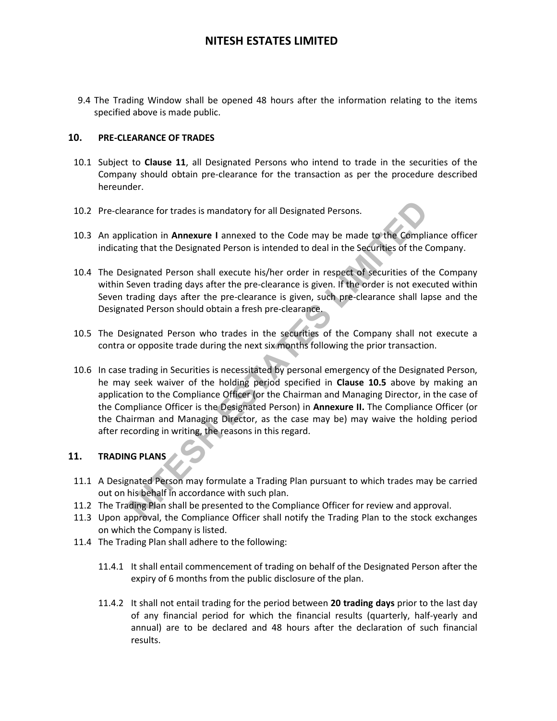9.4 The Trading Window shall be opened 48 hours after the information relating to the items specified above is made public.

### **10. PRE-CLEARANCE OF TRADES**

- 10.1 Subject to **Clause 11**, all Designated Persons who intend to trade in the securities of the Company should obtain pre-clearance for the transaction as per the procedure described hereunder.
- 10.2 Pre-clearance for trades is mandatory for all Designated Persons.
- 10.3 An application in **Annexure I** annexed to the Code may be made to the Compliance officer indicating that the Designated Person is intended to deal in the Securities of the Company.
- 10.4 The Designated Person shall execute his/her order in respect of securities of the Company within Seven trading days after the pre-clearance is given. If the order is not executed within Seven trading days after the pre-clearance is given, such pre-clearance shall lapse and the Designated Person should obtain a fresh pre-clearance.
- 10.5 The Designated Person who trades in the securities of the Company shall not execute a contra or opposite trade during the next six months following the prior transaction.
- arance for trades is mandatory for all Designated Persons.<br> **NICATOT ION AMELATE CONTERNATE CONTERNATE CONSTRANGLY CONTEX CONTEX CONTEX CONTEX CONTEX CONTEX STATE CONTEX<br>
Signated Person shall execute his/her order in resp** 10.6 In case trading in Securities is necessitated by personal emergency of the Designated Person, he may seek waiver of the holding period specified in **Clause 10.5** above by making an application to the Compliance Officer (or the Chairman and Managing Director, in the case of the Compliance Officer is the Designated Person) in **Annexure II.** The Compliance Officer (or the Chairman and Managing Director, as the case may be) may waive the holding period after recording in writing, the reasons in this regard.

### **11. TRADING PLANS**

- 11.1 A Designated Person may formulate a Trading Plan pursuant to which trades may be carried out on his behalf in accordance with such plan.
- 11.2 The Trading Plan shall be presented to the Compliance Officer for review and approval.
- 11.3 Upon approval, the Compliance Officer shall notify the Trading Plan to the stock exchanges on which the Company is listed.
- 11.4 The Trading Plan shall adhere to the following:
	- 11.4.1 It shall entail commencement of trading on behalf of the Designated Person after the expiry of 6 months from the public disclosure of the plan.
	- 11.4.2 It shall not entail trading for the period between **20 trading days** prior to the last day of any financial period for which the financial results (quarterly, half-yearly and annual) are to be declared and 48 hours after the declaration of such financial results.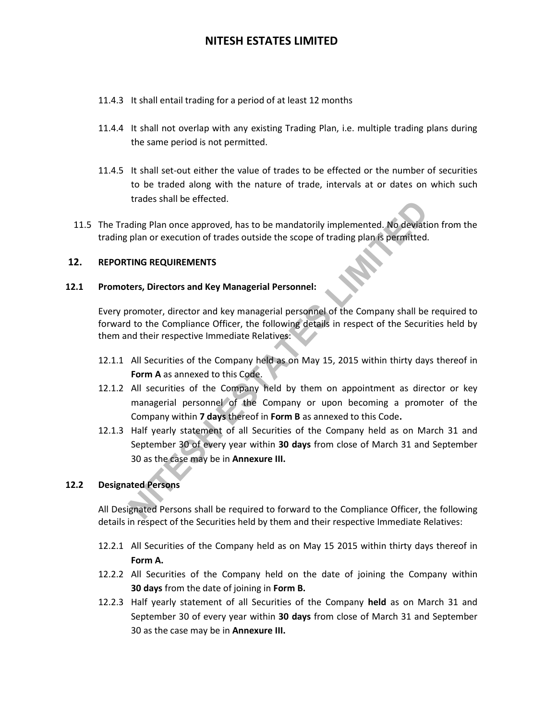- 11.4.3 It shall entail trading for a period of at least 12 months
- 11.4.4 It shall not overlap with any existing Trading Plan, i.e. multiple trading plans during the same period is not permitted.
- 11.4.5 It shall set-out either the value of trades to be effected or the number of securities to be traded along with the nature of trade, intervals at or dates on which such trades shall be effected.
- 11.5 The Trading Plan once approved, has to be mandatorily implemented. No deviation from the trading plan or execution of trades outside the scope of trading plan is permitted.

### **12. REPORTING REQUIREMENTS**

#### **12.1 Promoters, Directors and Key Managerial Personnel:**

Every promoter, director and key managerial personnel of the Company shall be required to forward to the Compliance Officer, the following details in respect of the Securities held by them and their respective Immediate Relatives:

- 12.1.1 All Securities of the Company held as on May 15, 2015 within thirty days thereof in **Form A** as annexed to this Code.
- ding Plan once approved, has to be mandatorily implemented. No deviation<br>plan or execution of trades outside the scope of trading plan is permitted.<br>**TING REQUIREMENTS**<br>**NITES**<br>**NITES**<br>**NITES**<br>**NITES**<br>**NITES**<br>**NITES**<br>**NITE** 12.1.2 All securities of the Company held by them on appointment as director or key managerial personnel of the Company or upon becoming a promoter of the Company within **7 days** thereof in **Form B** as annexed to this Code**.**
- 12.1.3 Half yearly statement of all Securities of the Company held as on March 31 and September 30 of every year within **30 days** from close of March 31 and September 30 as the case may be in **Annexure III.**

### **12.2 Designated Persons**

All Designated Persons shall be required to forward to the Compliance Officer, the following details in respect of the Securities held by them and their respective Immediate Relatives:

- 12.2.1 All Securities of the Company held as on May 15 2015 within thirty days thereof in **Form A.**
- 12.2.2 All Securities of the Company held on the date of joining the Company within **30 days** from the date of joining in **Form B.**
- 12.2.3 Half yearly statement of all Securities of the Company **held** as on March 31 and September 30 of every year within **30 days** from close of March 31 and September 30 as the case may be in **Annexure III.**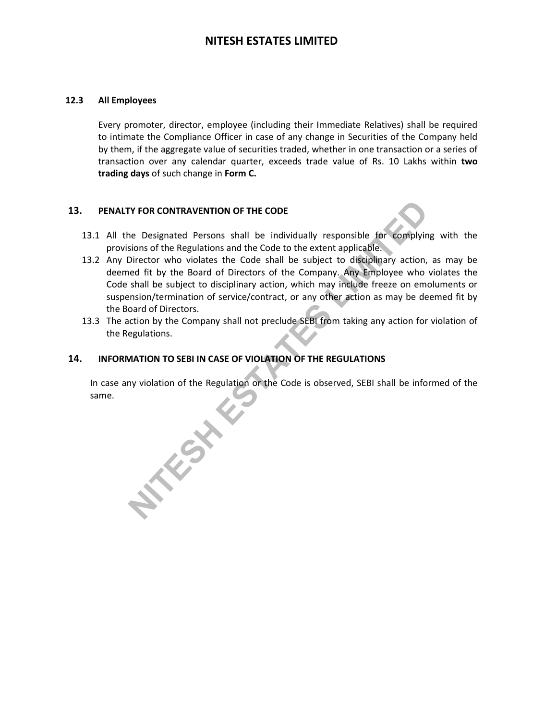### **12.3 All Employees**

Every promoter, director, employee (including their Immediate Relatives) shall be required to intimate the Compliance Officer in case of any change in Securities of the Company held by them, if the aggregate value of securities traded, whether in one transaction or a series of transaction over any calendar quarter, exceeds trade value of Rs. 10 Lakhs within **two trading days** of such change in **Form C.**

### **13. PENALTY FOR CONTRAVENTION OF THE CODE**

- 13.1 All the Designated Persons shall be individually responsible for complying with the provisions of the Regulations and the Code to the extent applicable.
- 13.2 Any Director who violates the Code shall be subject to disciplinary action, as may be deemed fit by the Board of Directors of the Company. Any Employee who violates the Code shall be subject to disciplinary action, which may include freeze on emoluments or suspension/termination of service/contract, or any other action as may be deemed fit by the Board of Directors.
- 13.3 The action by the Company shall not preclude SEBI from taking any action for violation of the Regulations.

### **14. INFORMATION TO SEBI IN CASE OF VIOLATION OF THE REGULATIONS**

In case any violation of the Regulation or the Code is observed, SEBI shall be informed of the same.

**NITES LIMITED**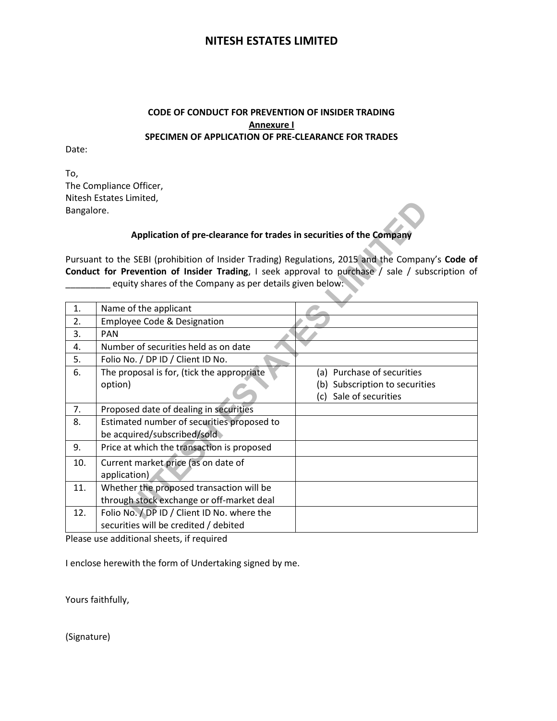## **CODE OF CONDUCT FOR PREVENTION OF INSIDER TRADING Annexure I SPECIMEN OF APPLICATION OF PRE-CLEARANCE FOR TRADES**

Date:

To, The Compliance Officer, Nitesh Estates Limited, Bangalore.

## **Application of pre-clearance for trades in securities of the Company**

|            | , זיונכטור בטנטנכט בוויוונכט                                                                      |                                |
|------------|---------------------------------------------------------------------------------------------------|--------------------------------|
| Bangalore. |                                                                                                   |                                |
|            | Application of pre-clearance for trades in securities of the Company                              |                                |
|            | Pursuant to the SEBI (prohibition of Insider Trading) Regulations, 2015 and the Company's Code of |                                |
|            | Conduct for Prevention of Insider Trading, I seek approval to purchase / sale / subscription of   |                                |
|            | equity shares of the Company as per details given below:                                          |                                |
|            |                                                                                                   |                                |
| 1.         | Name of the applicant                                                                             |                                |
| 2.         | <b>Employee Code &amp; Designation</b>                                                            |                                |
| 3.         | <b>PAN</b>                                                                                        |                                |
| 4.         | Number of securities held as on date                                                              |                                |
| 5.         | Folio No. / DP ID / Client ID No.                                                                 |                                |
| 6.         | The proposal is for, (tick the appropriate                                                        | (a) Purchase of securities     |
|            | option)                                                                                           | (b) Subscription to securities |
|            |                                                                                                   | Sale of securities<br>(c)      |
| 7.         | Proposed date of dealing in securities                                                            |                                |
| 8.         | Estimated number of securities proposed to                                                        |                                |
|            | be acquired/subscribed/sold                                                                       |                                |
| 9.         | Price at which the transaction is proposed                                                        |                                |
| 10.        | Current market price (as on date of                                                               |                                |
|            | application)                                                                                      |                                |
| 11.        | Whether the proposed transaction will be                                                          |                                |
|            | through stock exchange or off-market deal                                                         |                                |
| 12.        | Folio No. / DP ID / Client ID No. where the                                                       |                                |
|            | securities will be credited / debited                                                             |                                |

Please use additional sheets, if required

I enclose herewith the form of Undertaking signed by me.

Yours faithfully,

(Signature)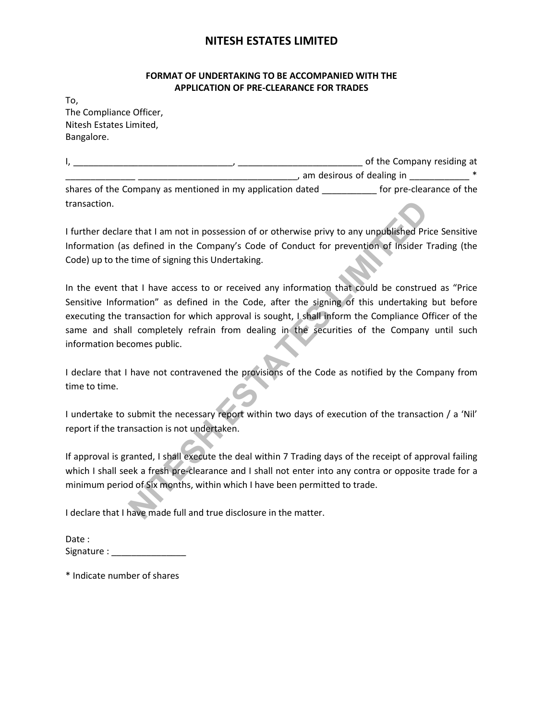## **FORMAT OF UNDERTAKING TO BE ACCOMPANIED WITH THE APPLICATION OF PRE-CLEARANCE FOR TRADES**

To, The Compliance Officer, Nitesh Estates Limited, Bangalore.

|                                                            | of the Company residing at |
|------------------------------------------------------------|----------------------------|
|                                                            | am desirous of dealing in  |
| shares of the Company as mentioned in my application dated | for pre-clearance of the   |
| transaction.                                               |                            |

I further declare that I am not in possession of or otherwise privy to any unpublished Price Sensitive Information (as defined in the Company's Code of Conduct for prevention of Insider Trading (the Code) up to the time of signing this Undertaking.

Example that I am not in possession of or otherwise privy to any unpublished Price defined in the Company's Code of Conduct for prevention of Insider Tractime of signing this Undertaking.<br>
Interval of the construction and In the event that I have access to or received any information that could be construed as "Price Sensitive Information" as defined in the Code, after the signing of this undertaking but before executing the transaction for which approval is sought, I shall inform the Compliance Officer of the same and shall completely refrain from dealing in the securities of the Company until such information becomes public.

I declare that I have not contravened the provisions of the Code as notified by the Company from time to time.

I undertake to submit the necessary report within two days of execution of the transaction / a 'Nil' report if the transaction is not undertaken.

If approval is granted, I shall execute the deal within 7 Trading days of the receipt of approval failing which I shall seek a fresh pre-clearance and I shall not enter into any contra or opposite trade for a minimum period of Six months, within which I have been permitted to trade.

I declare that I have made full and true disclosure in the matter.

| Date:      |  |
|------------|--|
| Signature: |  |

\* Indicate number of shares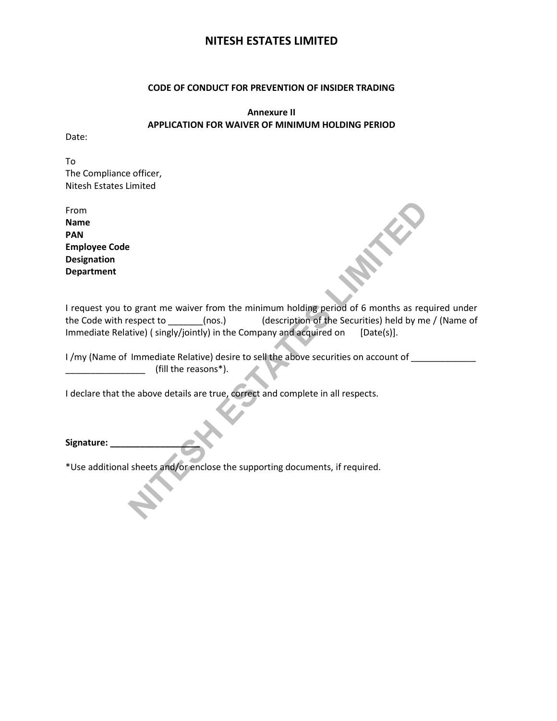#### **CODE OF CONDUCT FOR PREVENTION OF INSIDER TRADING**

**Annexure II APPLICATION FOR WAIVER OF MINIMUM HOLDING PERIOD** 

Date:

To The Compliance officer, Nitesh Estates Limited

From **Name PAN Employee Code Designation Department** 

**Solution:** The minimum holding period of 6 months as required to the subsepect to the solution of the Securities held by me / description of the Securities held by me / the company and acquired on [Date(s)].<br>
Immediate Re I request you to grant me waiver from the minimum holding period of 6 months as required under the Code with respect to \_\_\_\_\_\_\_(nos.) (description of the Securities) held by me / (Name of Immediate Relative) (singly/jointly) in the Company and acquired on [Date(s)].

I /my (Name of Immediate Relative) desire to sell the above securities on account of \_\_\_\_\_\_\_\_\_\_\_\_\_\_\_\_\_\_\_\_\_\_\_\_\_ \_\_\_\_\_\_\_\_\_\_\_\_\_\_\_\_ (fill the reasons\*).

I declare that the above details are true, correct and complete in all respects.

Signature:

\*Use additional sheets and/or enclose the supporting documents, if required.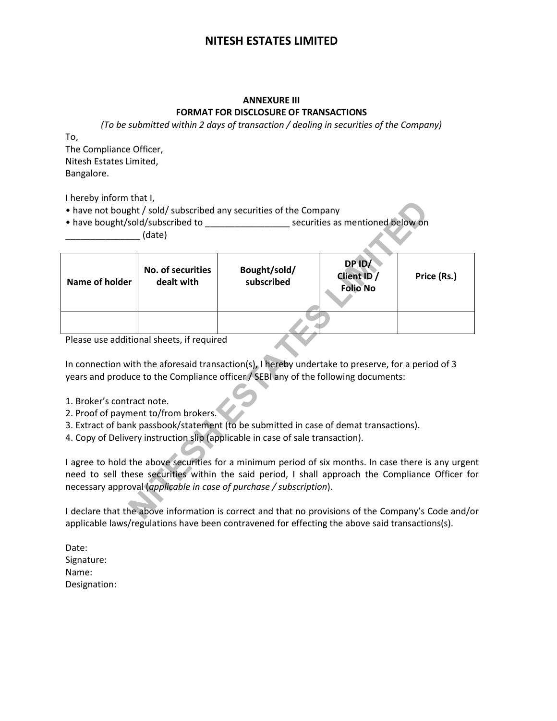# **ANNEXURE III FORMAT FOR DISCLOSURE OF TRANSACTIONS**

*(To be submitted within 2 days of transaction / dealing in securities of the Company)* 

To,

The Compliance Officer, Nitesh Estates Limited, Bangalore.

I hereby inform that I,

|                            |                                           | • have not bought / sold/ subscribed any securities of the Company<br>• have bought/sold/subscribed to securities as mentioned below on                                                                                                                                        |                                          |             |
|----------------------------|-------------------------------------------|--------------------------------------------------------------------------------------------------------------------------------------------------------------------------------------------------------------------------------------------------------------------------------|------------------------------------------|-------------|
|                            | (date)                                    |                                                                                                                                                                                                                                                                                |                                          |             |
| Name of holder             | No. of securities<br>dealt with           | Bought/sold/<br>subscribed                                                                                                                                                                                                                                                     | DP ID/<br>Client ID /<br><b>Folio No</b> | Price (Rs.) |
|                            |                                           |                                                                                                                                                                                                                                                                                |                                          |             |
|                            | Please use additional sheets, if required |                                                                                                                                                                                                                                                                                |                                          |             |
|                            |                                           | In connection with the aforesaid transaction(s), I hereby undertake to preserve, for a period of 3<br>years and produce to the Compliance officer / SEBI any of the following documents:                                                                                       |                                          |             |
| 1. Broker's contract note. | 2. Proof of payment to/from brokers.      |                                                                                                                                                                                                                                                                                |                                          |             |
|                            |                                           | 3. Extract of bank passbook/statement (to be submitted in case of demat transactions).                                                                                                                                                                                         |                                          |             |
|                            |                                           | 4. Copy of Delivery instruction slip (applicable in case of sale transaction).                                                                                                                                                                                                 |                                          |             |
|                            |                                           | I agree to hold the above securities for a minimum period of six months. In case there is any urgen<br>need to sell these securities within the said period, I shall approach the Compliance Officer fo<br>necessary approval (applicable in case of purchase / subscription). |                                          |             |
|                            |                                           | I declare that the above information is correct and that no provisions of the Company's Code and/o                                                                                                                                                                             |                                          |             |

- 1. Broker's contract note.
- 2. Proof of payment to/from brokers.
- 3. Extract of bank passbook/statement (to be submitted in case of demat transactions).
- 4. Copy of Delivery instruction slip (applicable in case of sale transaction).

I declare that the above information is correct and that no provisions of the Company's Code and/or applicable laws/regulations have been contravened for effecting the above said transactions(s).

Date: Signature: Name: Designation: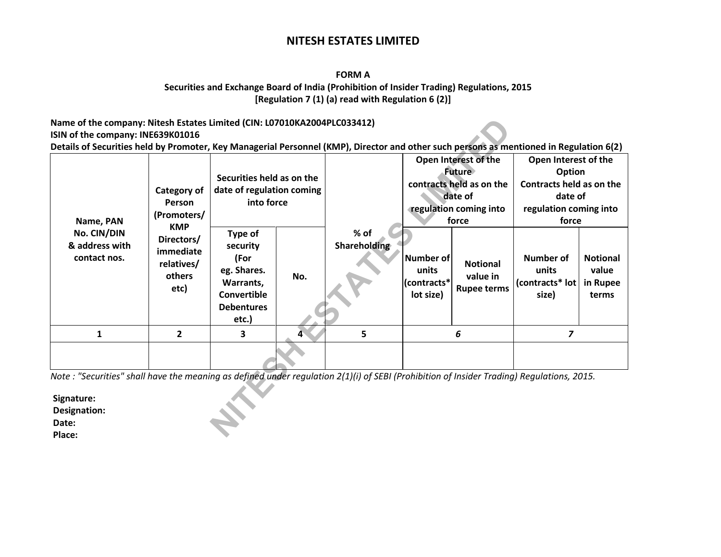### **FORM A**

### **Securities and Exchange Board of India (Prohibition of Insider Trading) Regulations, 2015 [Regulation 7 (1) (a) read with Regulation 6 (2)]**

### **Name of the company: Nitesh Estates Limited (CIN: L07010KA2004PLC033412) ISIN of the company: INE639K01016**

| Name of the company: Nitesh Estates Limited (CIN: L07010KA2004PLC033412)                                                                                                     |                                                                       |                                                                                                             |     |                             |                                                       |                                                                                                                 |                                                                                                          |                                               |  |
|------------------------------------------------------------------------------------------------------------------------------------------------------------------------------|-----------------------------------------------------------------------|-------------------------------------------------------------------------------------------------------------|-----|-----------------------------|-------------------------------------------------------|-----------------------------------------------------------------------------------------------------------------|----------------------------------------------------------------------------------------------------------|-----------------------------------------------|--|
| ISIN of the company: INE639K01016<br>Details of Securities held by Promoter, Key Managerial Personnel (KMP), Director and other such persons as mentioned in Regulation 6(2) |                                                                       |                                                                                                             |     |                             |                                                       |                                                                                                                 |                                                                                                          |                                               |  |
| Name, PAN<br>No. CIN/DIN<br>& address with<br>contact nos.                                                                                                                   | Category of<br>Person<br>(Promoters/                                  | Securities held as on the<br>date of regulation coming<br>into force                                        |     |                             |                                                       | Open Interest of the<br><b>Future</b><br>contracts held as on the<br>date of<br>regulation coming into<br>force | Open Interest of the<br>Option<br>Contracts held as on the<br>date of<br>regulation coming into<br>force |                                               |  |
|                                                                                                                                                                              | <b>KMP</b><br>Directors/<br>immediate<br>relatives/<br>others<br>etc) | Type of<br>security<br>(For<br>eg. Shares.<br>Warrants,<br><b>Convertible</b><br><b>Debentures</b><br>etc.) | No. | % of<br><b>Shareholding</b> | <b>Number of</b><br>units<br>(contracts*<br>lot size) | <b>Notional</b><br>value in<br><b>Rupee terms</b>                                                               | <b>Number of</b><br>units<br>(contracts* lot<br>size)                                                    | <b>Notional</b><br>value<br>in Rupee<br>terms |  |
| $\mathbf{1}$                                                                                                                                                                 | $\overline{2}$                                                        | 3                                                                                                           | Δ   | 5                           |                                                       | 6                                                                                                               | $\overline{z}$                                                                                           |                                               |  |
|                                                                                                                                                                              |                                                                       |                                                                                                             |     |                             |                                                       |                                                                                                                 |                                                                                                          |                                               |  |
| Note: "Securities" shall have the meaning as defined under regulation 2(1)(i) of SEBI (Prohibition of Insider Trading) Regulations, 2015.                                    |                                                                       |                                                                                                             |     |                             |                                                       |                                                                                                                 |                                                                                                          |                                               |  |
| Signature:<br>Designation:<br>Date:<br>Place:                                                                                                                                |                                                                       |                                                                                                             |     |                             |                                                       |                                                                                                                 |                                                                                                          |                                               |  |

**Signature: Designation: Date: Place:**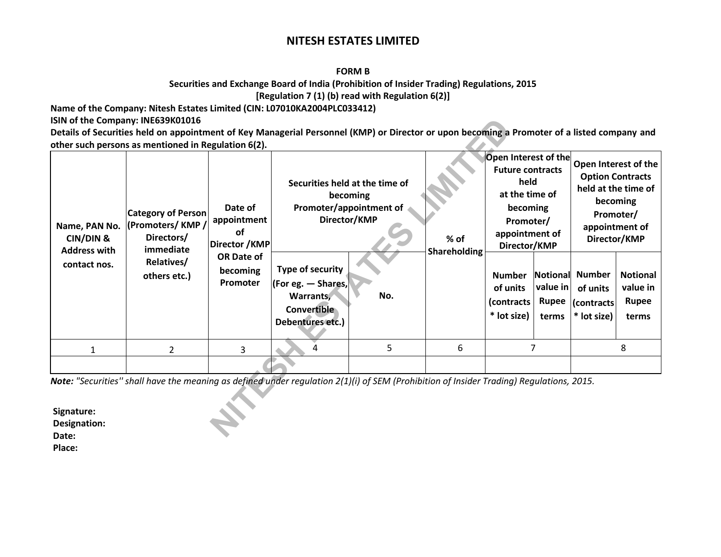#### **FORM B**

## **Securities and Exchange Board of India (Prohibition of Insider Trading) Regulations, 2015 [Regulation 7 (1) (b) read with Regulation 6(2)]**

**Name of the Company: Nitesh Estates Limited (CIN: L07010KA2004PLC033412)** 

**ISIN of the Company: INE639K01016** 

| other such persons as mentioned in Regulation 6(2).<br>Name, PAN No.<br><b>CIN/DIN &amp;</b><br><b>Address with</b><br>contact nos. | <b>Category of Person</b><br>(Promoters/KMP/<br>Directors/<br>immediate<br>Relatives/<br>others etc.)                                    | Date of<br>appointment<br>Ωf<br>Director / KMP<br><b>OR Date of</b><br>becoming<br><b>Promoter</b> | Securities held at the time of<br>becoming<br>Promoter/appointment of<br>Director/KMP<br><b>Type of security</b><br>$ $ (For eg. $-$ Shares,<br>No.<br>Warrants,<br>Convertible<br>Debentures etc.) |   | $%$ of<br>Shareholding | <b>Open Interest of the</b><br><b>Future contracts</b><br>held<br>at the time of<br>becoming<br>Promoter/<br>appointment of<br>Director/KMP<br><b>Number</b><br>value in<br>of units<br>(contracts<br><b>Rupee</b><br>* lot size)<br>terms |   | Promoter/<br>Director/KMP<br>Notional Number<br>of units<br>(contracts)<br>* lot size) | Open Interest of the<br><b>Option Contracts</b><br>held at the time of<br>becoming<br>appointment of<br><b>Notional</b><br>value in<br>Rupee<br>terms |
|-------------------------------------------------------------------------------------------------------------------------------------|------------------------------------------------------------------------------------------------------------------------------------------|----------------------------------------------------------------------------------------------------|-----------------------------------------------------------------------------------------------------------------------------------------------------------------------------------------------------|---|------------------------|--------------------------------------------------------------------------------------------------------------------------------------------------------------------------------------------------------------------------------------------|---|----------------------------------------------------------------------------------------|-------------------------------------------------------------------------------------------------------------------------------------------------------|
| 1                                                                                                                                   | 2                                                                                                                                        | 3                                                                                                  | 4                                                                                                                                                                                                   | 5 | 6                      |                                                                                                                                                                                                                                            | 7 |                                                                                        | 8                                                                                                                                                     |
| Signature:<br>Designation:                                                                                                          | Note: "Securities" shall have the meaning as defined under regulation 2(1)(i) of SEM (Prohibition of Insider Trading) Regulations, 2015. |                                                                                                    |                                                                                                                                                                                                     |   |                        |                                                                                                                                                                                                                                            |   |                                                                                        |                                                                                                                                                       |

**Signature: Designation: Date: Place:**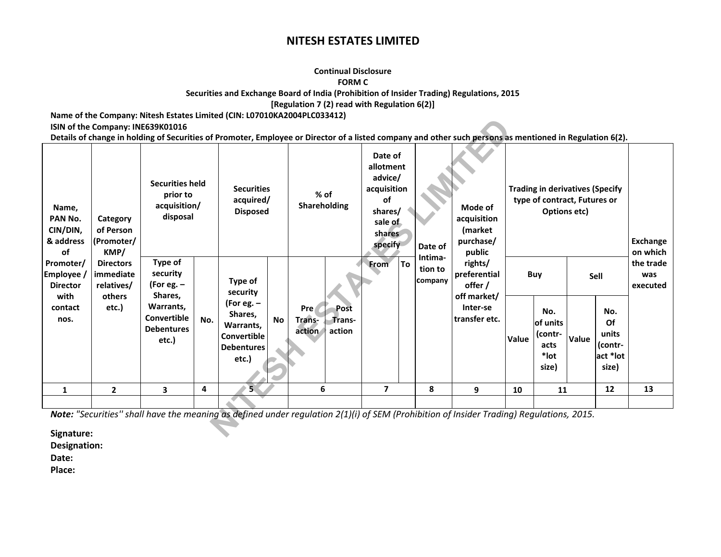#### **Continual Disclosure**

#### **FORM C**

**Securities and Exchange Board of India (Prohibition of Insider Trading) Regulations, 2015** 

**[Regulation 7 (2) read with Regulation 6(2)]** 

**Name of the Company: Nitesh Estates Limited (CIN: L07010KA2004PLC033412)** 

## **ISIN of the Company: INE639K01016**

| ISIN of the Company: INE639K01016<br>Name,<br>PAN No.<br>Category<br>CIN/DIN,<br>of Person<br>& address<br> (Promoter/<br>of<br>KMP/<br>Promoter/<br><b>Directors</b><br>Employee /<br>immediate<br>relatives/<br><b>Director</b><br>with<br>others<br>contact<br>etc.)<br>nos. | <b>Securities held</b><br>prior to<br>acquisition/<br>disposal |                                                                                                        | <b>Securities</b><br>acquired/<br><b>Disposed</b> |                                                                                                                 | $%$ of<br>Shareholding | Date of<br>allotment<br>advice/<br>acquisition<br>οf<br>shares/<br>sale of<br>shares                                                     |                 | Date of | Mode of<br>acquisition<br><i>(market)</i><br>purchase/ | Details of change in holding of Securities of Promoter, Employee or Director of a listed company and other such persons as mentioned in Regulation 6(2).<br><b>Trading in derivatives (Specify</b><br>type of contract, Futures or<br>Options etc) |       |                                                             |       | Exchange                                                   |                                          |
|---------------------------------------------------------------------------------------------------------------------------------------------------------------------------------------------------------------------------------------------------------------------------------|----------------------------------------------------------------|--------------------------------------------------------------------------------------------------------|---------------------------------------------------|-----------------------------------------------------------------------------------------------------------------|------------------------|------------------------------------------------------------------------------------------------------------------------------------------|-----------------|---------|--------------------------------------------------------|----------------------------------------------------------------------------------------------------------------------------------------------------------------------------------------------------------------------------------------------------|-------|-------------------------------------------------------------|-------|------------------------------------------------------------|------------------------------------------|
|                                                                                                                                                                                                                                                                                 |                                                                | Type of<br>security<br>(For eg. –<br>Shares,<br>Warrants.<br>Convertible<br><b>Debentures</b><br>etc.) | No.                                               | Type of<br>security<br>(For eg. $-$<br>Shares,<br>Warrants,<br><b>Convertible</b><br><b>Debentures</b><br>etc.) | <b>No</b>              | Post<br>Pre<br>Trans-<br>Trans-<br>action<br>action                                                                                      | specify<br>From | To      | Intima-<br>tion to<br><b>Company</b>                   | public<br>rights/<br>preferential<br>offer /<br>off market/<br>Inter-se<br>transfer etc.                                                                                                                                                           | Value | Buy<br>No.<br>lof units<br>(contr-<br>acts<br>*lot<br>size) | Value | Sell<br>No.<br>Of<br>units<br>(contr-<br>act *lot<br>size) | on which<br>the trade<br>was<br>executed |
| 1                                                                                                                                                                                                                                                                               | $\overline{2}$                                                 | 3                                                                                                      | 4                                                 |                                                                                                                 |                        | 6                                                                                                                                        | 7               |         | 8                                                      | 9                                                                                                                                                                                                                                                  | 10    | 11                                                          |       | 12                                                         | 13                                       |
| Signature:                                                                                                                                                                                                                                                                      |                                                                |                                                                                                        |                                                   |                                                                                                                 |                        | Note: "Securities" shall have the meaning as defined under regulation 2(1)(i) of SEM (Prohibition of Insider Trading) Regulations, 2015. |                 |         |                                                        |                                                                                                                                                                                                                                                    |       |                                                             |       |                                                            |                                          |

**Signature:** 

**Designation:** 

**Date:** 

**Place:**